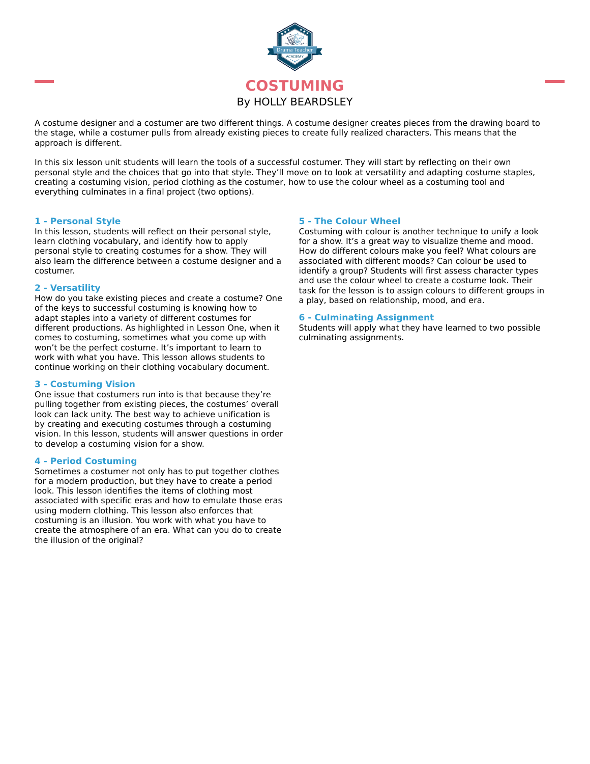

A costume designer and a costumer are two different things. A costume designer creates pieces from the drawing board to the stage, while a costumer pulls from already existing pieces to create fully realized characters. This means that the approach is different.

In this six lesson unit students will learn the tools of a successful costumer. They will start by reflecting on their own personal style and the choices that go into that style. They'll move on to look at versatility and adapting costume staples, creating a costuming vision, period clothing as the costumer, how to use the colour wheel as a costuming tool and everything culminates in a final project (two options).

### **1 - Personal Style**

In this lesson, students will reflect on their personal style, learn clothing vocabulary, and identify how to apply personal style to creating costumes for a show. They will also learn the difference between a costume designer and a costumer.

### **2 - Versatility**

How do you take existing pieces and create a costume? One of the keys to successful costuming is knowing how to adapt staples into a variety of different costumes for different productions. As highlighted in Lesson One, when it comes to costuming, sometimes what you come up with won't be the perfect costume. It's important to learn to work with what you have. This lesson allows students to continue working on their clothing vocabulary document.

# **3 - Costuming Vision**

One issue that costumers run into is that because they're pulling together from existing pieces, the costumes' overall look can lack unity. The best way to achieve unification is by creating and executing costumes through a costuming vision. In this lesson, students will answer questions in order to develop a costuming vision for a show.

# **4 - Period Costuming**

Sometimes a costumer not only has to put together clothes for a modern production, but they have to create a period look. This lesson identifies the items of clothing most associated with specific eras and how to emulate those eras using modern clothing. This lesson also enforces that costuming is an illusion. You work with what you have to create the atmosphere of an era. What can you do to create the illusion of the original?

# **5 - The Colour Wheel**

Costuming with colour is another technique to unify a look for a show. It's a great way to visualize theme and mood. How do different colours make you feel? What colours are associated with different moods? Can colour be used to identify a group? Students will first assess character types and use the colour wheel to create a costume look. Their task for the lesson is to assign colours to different groups in a play, based on relationship, mood, and era.

#### **6 - Culminating Assignment**

Students will apply what they have learned to two possible culminating assignments.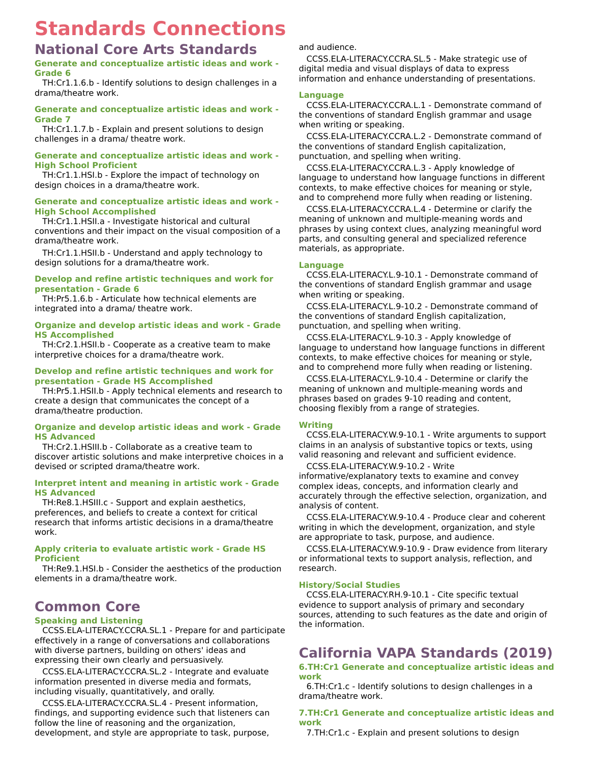# **Standards Connections**

# **National Core Arts Standards**

# **Generate and conceptualize artistic ideas and work - Grade 6**

TH:Cr1.1.6.b - Identify solutions to design challenges in a drama/theatre work.

# **Generate and conceptualize artistic ideas and work - Grade 7**

TH:Cr1.1.7.b - Explain and present solutions to design challenges in a drama/ theatre work.

# **Generate and conceptualize artistic ideas and work - High School Proficient**

TH:Cr1.1.HSI.b - Explore the impact of technology on design choices in a drama/theatre work.

# **Generate and conceptualize artistic ideas and work - High School Accomplished**

TH:Cr1.1.HSII.a - Investigate historical and cultural conventions and their impact on the visual composition of a drama/theatre work.

TH:Cr1.1.HSII.b - Understand and apply technology to design solutions for a drama/theatre work.

# **Develop and refine artistic techniques and work for presentation - Grade 6**

TH:Pr5.1.6.b - Articulate how technical elements are integrated into a drama/ theatre work.

# **Organize and develop artistic ideas and work - Grade HS Accomplished**

TH:Cr2.1.HSII.b - Cooperate as a creative team to make interpretive choices for a drama/theatre work.

# **Develop and refine artistic techniques and work for presentation - Grade HS Accomplished**

TH:Pr5.1.HSII.b - Apply technical elements and research to create a design that communicates the concept of a drama/theatre production.

# **Organize and develop artistic ideas and work - Grade HS Advanced**

TH:Cr2.1.HSIII.b - Collaborate as a creative team to discover artistic solutions and make interpretive choices in a devised or scripted drama/theatre work.

# **Interpret intent and meaning in artistic work - Grade HS Advanced**

TH:Re8.1.HSIII.c - Support and explain aesthetics, preferences, and beliefs to create a context for critical research that informs artistic decisions in a drama/theatre work.

# **Apply criteria to evaluate artistic work - Grade HS Proficient**

TH:Re9.1.HSI.b - Consider the aesthetics of the production elements in a drama/theatre work.

# **Common Core**

# **Speaking and Listening**

CCSS.ELA-LITERACY.CCRA.SL.1 - Prepare for and participate effectively in a range of conversations and collaborations with diverse partners, building on others' ideas and expressing their own clearly and persuasively.

CCSS.ELA-LITERACY.CCRA.SL.2 - Integrate and evaluate information presented in diverse media and formats, including visually, quantitatively, and orally.

CCSS.ELA-LITERACY.CCRA.SL.4 - Present information, findings, and supporting evidence such that listeners can follow the line of reasoning and the organization, development, and style are appropriate to task, purpose,

and audience.

CCSS.ELA-LITERACY.CCRA.SL.5 - Make strategic use of digital media and visual displays of data to express information and enhance understanding of presentations.

# **Language**

CCSS.ELA-LITERACY.CCRA.L.1 - Demonstrate command of the conventions of standard English grammar and usage when writing or speaking.

CCSS.ELA-LITERACY.CCRA.L.2 - Demonstrate command of the conventions of standard English capitalization, punctuation, and spelling when writing.

CCSS.ELA-LITERACY.CCRA.L.3 - Apply knowledge of language to understand how language functions in different contexts, to make effective choices for meaning or style, and to comprehend more fully when reading or listening.

CCSS.ELA-LITERACY.CCRA.L.4 - Determine or clarify the meaning of unknown and multiple-meaning words and phrases by using context clues, analyzing meaningful word parts, and consulting general and specialized reference materials, as appropriate.

# **Language**

CCSS.ELA-LITERACY.L.9-10.1 - Demonstrate command of the conventions of standard English grammar and usage when writing or speaking.

CCSS.ELA-LITERACY.L.9-10.2 - Demonstrate command of the conventions of standard English capitalization, punctuation, and spelling when writing.

CCSS.ELA-LITERACY.L.9-10.3 - Apply knowledge of language to understand how language functions in different contexts, to make effective choices for meaning or style, and to comprehend more fully when reading or listening.

CCSS.ELA-LITERACY.L.9-10.4 - Determine or clarify the meaning of unknown and multiple-meaning words and phrases based on grades 9-10 reading and content, choosing flexibly from a range of strategies.

# **Writing**

CCSS.ELA-LITERACY.W.9-10.1 - Write arguments to support claims in an analysis of substantive topics or texts, using valid reasoning and relevant and sufficient evidence.

CCSS.ELA-LITERACY.W.9-10.2 - Write informative/explanatory texts to examine and convey complex ideas, concepts, and information clearly and accurately through the effective selection, organization, and analysis of content.

CCSS.ELA-LITERACY.W.9-10.4 - Produce clear and coherent writing in which the development, organization, and style are appropriate to task, purpose, and audience.

CCSS.ELA-LITERACY.W.9-10.9 - Draw evidence from literary or informational texts to support analysis, reflection, and research.

# **History/Social Studies**

CCSS.ELA-LITERACY.RH.9-10.1 - Cite specific textual evidence to support analysis of primary and secondary sources, attending to such features as the date and origin of the information.

# **California VAPA Standards (2019)**

**6.TH:Cr1 Generate and conceptualize artistic ideas and work**

6.TH:Cr1.c - Identify solutions to design challenges in a drama/theatre work.

# **7.TH:Cr1 Generate and conceptualize artistic ideas and work**

7.TH:Cr1.c - Explain and present solutions to design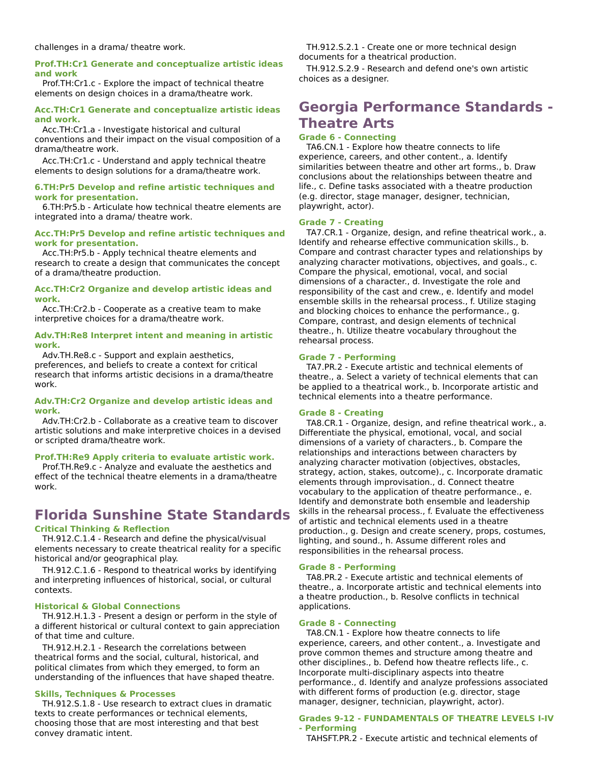### **Prof.TH:Cr1 Generate and conceptualize artistic ideas and work**

Prof.TH:Cr1.c - Explore the impact of technical theatre elements on design choices in a drama/theatre work.

#### **Acc.TH:Cr1 Generate and conceptualize artistic ideas and work.**

Acc.TH:Cr1.a - Investigate historical and cultural conventions and their impact on the visual composition of a drama/theatre work.

Acc.TH:Cr1.c - Understand and apply technical theatre elements to design solutions for a drama/theatre work.

#### **6.TH:Pr5 Develop and refine artistic techniques and work for presentation.**

6.TH:Pr5.b - Articulate how technical theatre elements are integrated into a drama/ theatre work.

### **Acc.TH:Pr5 Develop and refine artistic techniques and work for presentation.**

Acc.TH:Pr5.b - Apply technical theatre elements and research to create a design that communicates the concept of a drama/theatre production.

#### **Acc.TH:Cr2 Organize and develop artistic ideas and work.**

Acc.TH:Cr2.b - Cooperate as a creative team to make interpretive choices for a drama/theatre work.

#### **Adv.TH:Re8 Interpret intent and meaning in artistic work.**

Adv.TH.Re8.c - Support and explain aesthetics, preferences, and beliefs to create a context for critical research that informs artistic decisions in a drama/theatre work.

#### **Adv.TH:Cr2 Organize and develop artistic ideas and work.**

Adv.TH:Cr2.b - Collaborate as a creative team to discover artistic solutions and make interpretive choices in a devised or scripted drama/theatre work.

# **Prof.TH:Re9 Apply criteria to evaluate artistic work.**

Prof.TH.Re9.c - Analyze and evaluate the aesthetics and effect of the technical theatre elements in a drama/theatre work.

# **Florida Sunshine State Standards**

# **Critical Thinking & Reflection**

TH.912.C.1.4 - Research and define the physical/visual elements necessary to create theatrical reality for a specific historical and/or geographical play.

TH.912.C.1.6 - Respond to theatrical works by identifying and interpreting influences of historical, social, or cultural contexts.

#### **Historical & Global Connections**

TH.912.H.1.3 - Present a design or perform in the style of a different historical or cultural context to gain appreciation of that time and culture.

TH.912.H.2.1 - Research the correlations between theatrical forms and the social, cultural, historical, and political climates from which they emerged, to form an understanding of the influences that have shaped theatre.

# **Skills, Techniques & Processes**

TH.912.S.1.8 - Use research to extract clues in dramatic texts to create performances or technical elements, choosing those that are most interesting and that best convey dramatic intent.

TH.912.S.2.1 - Create one or more technical design documents for a theatrical production.

TH.912.S.2.9 - Research and defend one's own artistic choices as a designer.

# **Georgia Performance Standards - Theatre Arts**

# **Grade 6 - Connecting**

TA6.CN.1 - Explore how theatre connects to life experience, careers, and other content., a. Identify similarities between theatre and other art forms., b. Draw conclusions about the relationships between theatre and life., c. Define tasks associated with a theatre production (e.g. director, stage manager, designer, technician, playwright, actor).

### **Grade 7 - Creating**

TA7.CR.1 - Organize, design, and refine theatrical work., a. Identify and rehearse effective communication skills., b. Compare and contrast character types and relationships by analyzing character motivations, objectives, and goals., c. Compare the physical, emotional, vocal, and social dimensions of a character., d. Investigate the role and responsibility of the cast and crew., e. Identify and model ensemble skills in the rehearsal process., f. Utilize staging and blocking choices to enhance the performance., g. Compare, contrast, and design elements of technical theatre., h. Utilize theatre vocabulary throughout the rehearsal process.

### **Grade 7 - Performing**

TA7.PR.2 - Execute artistic and technical elements of theatre., a. Select a variety of technical elements that can be applied to a theatrical work., b. Incorporate artistic and technical elements into a theatre performance.

#### **Grade 8 - Creating**

TA8.CR.1 - Organize, design, and refine theatrical work., a. Differentiate the physical, emotional, vocal, and social dimensions of a variety of characters., b. Compare the relationships and interactions between characters by analyzing character motivation (objectives, obstacles, strategy, action, stakes, outcome)., c. Incorporate dramatic elements through improvisation., d. Connect theatre vocabulary to the application of theatre performance., e. Identify and demonstrate both ensemble and leadership skills in the rehearsal process., f. Evaluate the effectiveness of artistic and technical elements used in a theatre production., g. Design and create scenery, props, costumes, lighting, and sound., h. Assume different roles and responsibilities in the rehearsal process.

#### **Grade 8 - Performing**

TA8.PR.2 - Execute artistic and technical elements of theatre., a. Incorporate artistic and technical elements into a theatre production., b. Resolve conflicts in technical applications.

#### **Grade 8 - Connecting**

TA8.CN.1 - Explore how theatre connects to life experience, careers, and other content., a. Investigate and prove common themes and structure among theatre and other disciplines., b. Defend how theatre reflects life., c. Incorporate multi-disciplinary aspects into theatre performance., d. Identify and analyze professions associated with different forms of production (e.g. director, stage manager, designer, technician, playwright, actor).

#### **Grades 9-12 - FUNDAMENTALS OF THEATRE LEVELS I-IV - Performing**

TAHSFT.PR.2 - Execute artistic and technical elements of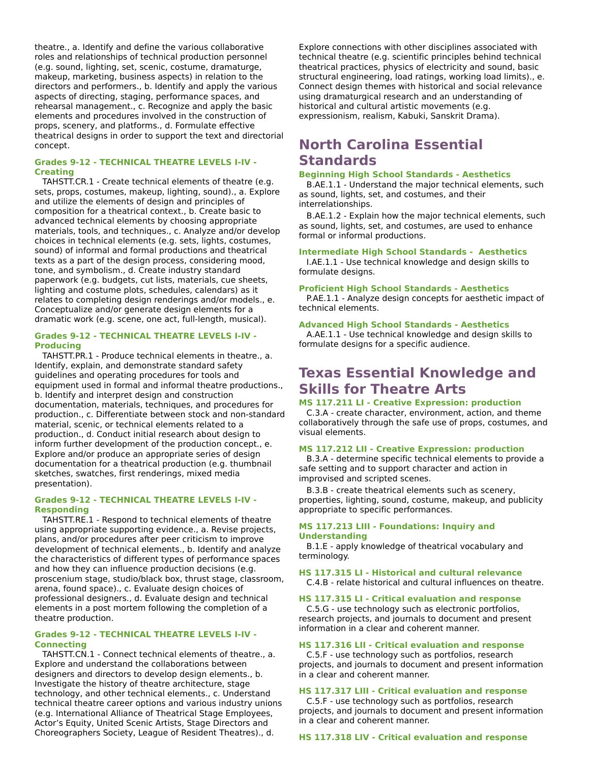theatre., a. Identify and define the various collaborative roles and relationships of technical production personnel (e.g. sound, lighting, set, scenic, costume, dramaturge, makeup, marketing, business aspects) in relation to the directors and performers., b. Identify and apply the various aspects of directing, staging, performance spaces, and rehearsal management., c. Recognize and apply the basic elements and procedures involved in the construction of props, scenery, and platforms., d. Formulate effective theatrical designs in order to support the text and directorial concept.

# **Grades 9-12 - TECHNICAL THEATRE LEVELS I-IV - Creating**

TAHSTT.CR.1 - Create technical elements of theatre (e.g. sets, props, costumes, makeup, lighting, sound)., a. Explore and utilize the elements of design and principles of composition for a theatrical context., b. Create basic to advanced technical elements by choosing appropriate materials, tools, and techniques., c. Analyze and/or develop choices in technical elements (e.g. sets, lights, costumes, sound) of informal and formal productions and theatrical texts as a part of the design process, considering mood, tone, and symbolism., d. Create industry standard paperwork (e.g. budgets, cut lists, materials, cue sheets, lighting and costume plots, schedules, calendars) as it relates to completing design renderings and/or models., e. Conceptualize and/or generate design elements for a dramatic work (e.g. scene, one act, full-length, musical).

# **Grades 9-12 - TECHNICAL THEATRE LEVELS I-IV - Producing**

TAHSTT.PR.1 - Produce technical elements in theatre., a. Identify, explain, and demonstrate standard safety guidelines and operating procedures for tools and equipment used in formal and informal theatre productions., b. Identify and interpret design and construction documentation, materials, techniques, and procedures for production., c. Differentiate between stock and non-standard material, scenic, or technical elements related to a production., d. Conduct initial research about design to inform further development of the production concept., e. Explore and/or produce an appropriate series of design documentation for a theatrical production (e.g. thumbnail sketches, swatches, first renderings, mixed media presentation).

### **Grades 9-12 - TECHNICAL THEATRE LEVELS I-IV - Responding**

TAHSTT.RE.1 - Respond to technical elements of theatre using appropriate supporting evidence., a. Revise projects, plans, and/or procedures after peer criticism to improve development of technical elements., b. Identify and analyze the characteristics of different types of performance spaces and how they can influence production decisions (e.g. proscenium stage, studio/black box, thrust stage, classroom, arena, found space)., c. Evaluate design choices of professional designers., d. Evaluate design and technical elements in a post mortem following the completion of a theatre production.

# **Grades 9-12 - TECHNICAL THEATRE LEVELS I-IV - Connecting**

TAHSTT.CN.1 - Connect technical elements of theatre., a. Explore and understand the collaborations between designers and directors to develop design elements., b. Investigate the history of theatre architecture, stage technology, and other technical elements., c. Understand technical theatre career options and various industry unions (e.g. International Alliance of Theatrical Stage Employees, Actor's Equity, United Scenic Artists, Stage Directors and Choreographers Society, League of Resident Theatres)., d.

Explore connections with other disciplines associated with technical theatre (e.g. scientific principles behind technical theatrical practices, physics of electricity and sound, basic structural engineering, load ratings, working load limits)., e. Connect design themes with historical and social relevance using dramaturgical research and an understanding of historical and cultural artistic movements (e.g. expressionism, realism, Kabuki, Sanskrit Drama).

# **North Carolina Essential Standards**

### **Beginning High School Standards - Aesthetics**

B.AE.1.1 - Understand the major technical elements, such as sound, lights, set, and costumes, and their interrelationships.

B.AE.1.2 - Explain how the major technical elements, such as sound, lights, set, and costumes, are used to enhance formal or informal productions.

# **Intermediate High School Standards - Aesthetics**

I.AE.1.1 - Use technical knowledge and design skills to formulate designs.

# **Proficient High School Standards - Aesthetics**

P.AE.1.1 - Analyze design concepts for aesthetic impact of technical elements.

# **Advanced High School Standards - Aesthetics**

A.AE.1.1 - Use technical knowledge and design skills to formulate designs for a specific audience.

# **Texas Essential Knowledge and Skills for Theatre Arts**

# **MS 117.211 LI - Creative Expression: production**

C.3.A - create character, environment, action, and theme collaboratively through the safe use of props, costumes, and visual elements.

# **MS 117.212 LII - Creative Expression: production**

B.3.A - determine specific technical elements to provide a safe setting and to support character and action in improvised and scripted scenes.

B.3.B - create theatrical elements such as scenery, properties, lighting, sound, costume, makeup, and publicity appropriate to specific performances.

### **MS 117.213 LIII - Foundations: Inquiry and Understanding**

B.1.E - apply knowledge of theatrical vocabulary and terminology.

**HS 117.315 LI - Historical and cultural relevance** C.4.B - relate historical and cultural influences on theatre.

# **HS 117.315 LI - Critical evaluation and response**

C.5.G - use technology such as electronic portfolios, research projects, and journals to document and present information in a clear and coherent manner.

#### **HS 117.316 LII - Critical evaluation and response**

C.5.F - use technology such as portfolios, research projects, and journals to document and present information in a clear and coherent manner.

# **HS 117.317 LIII - Critical evaluation and response**

C.5.F - use technology such as portfolios, research projects, and journals to document and present information in a clear and coherent manner.

#### **HS 117.318 LIV - Critical evaluation and response**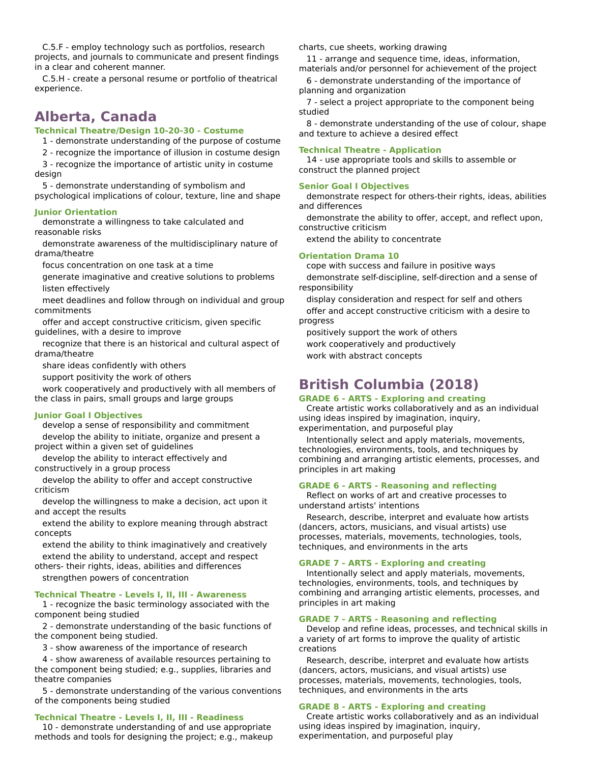C.5.F - employ technology such as portfolios, research projects, and journals to communicate and present findings in a clear and coherent manner.

C.5.H - create a personal resume or portfolio of theatrical experience.

# **Alberta, Canada**

# **Technical Theatre/Design 10-20-30 - Costume**

1 - demonstrate understanding of the purpose of costume

2 - recognize the importance of illusion in costume design

3 - recognize the importance of artistic unity in costume design

5 - demonstrate understanding of symbolism and psychological implications of colour, texture, line and shape

### **Junior Orientation**

demonstrate a willingness to take calculated and reasonable risks

demonstrate awareness of the multidisciplinary nature of drama/theatre

focus concentration on one task at a time

generate imaginative and creative solutions to problems listen effectively

meet deadlines and follow through on individual and group commitments

offer and accept constructive criticism, given specific guidelines, with a desire to improve

recognize that there is an historical and cultural aspect of drama/theatre

share ideas confidently with others

support positivity the work of others

work cooperatively and productively with all members of the class in pairs, small groups and large groups

### **Junior Goal I Objectives**

develop a sense of responsibility and commitment develop the ability to initiate, organize and present a project within a given set of guidelines

develop the ability to interact effectively and constructively in a group process

develop the ability to offer and accept constructive criticism

develop the willingness to make a decision, act upon it and accept the results

extend the ability to explore meaning through abstract concepts

extend the ability to think imaginatively and creatively extend the ability to understand, accept and respect

others- their rights, ideas, abilities and differences strengthen powers of concentration

#### **Technical Theatre - Levels I, II, III - Awareness**

1 - recognize the basic terminology associated with the component being studied

2 - demonstrate understanding of the basic functions of the component being studied.

3 - show awareness of the importance of research

4 - show awareness of available resources pertaining to the component being studied; e.g., supplies, libraries and theatre companies

5 - demonstrate understanding of the various conventions of the components being studied

#### **Technical Theatre - Levels I, II, III - Readiness**

10 - demonstrate understanding of and use appropriate methods and tools for designing the project; e.g., makeup charts, cue sheets, working drawing

11 - arrange and sequence time, ideas, information,

materials and/or personnel for achievement of the project 6 - demonstrate understanding of the importance of

planning and organization

7 - select a project appropriate to the component being studied

8 - demonstrate understanding of the use of colour, shape and texture to achieve a desired effect

#### **Technical Theatre - Application**

14 - use appropriate tools and skills to assemble or construct the planned project

#### **Senior Goal I Objectives**

demonstrate respect for others-their rights, ideas, abilities and differences

demonstrate the ability to offer, accept, and reflect upon, constructive criticism

extend the ability to concentrate

#### **Orientation Drama 10**

cope with success and failure in positive ways demonstrate self-discipline, self-direction and a sense of responsibility

display consideration and respect for self and others offer and accept constructive criticism with a desire to progress

positively support the work of others work cooperatively and productively work with abstract concepts

# **British Columbia (2018)**

# **GRADE 6 - ARTS - Exploring and creating**

Create artistic works collaboratively and as an individual using ideas inspired by imagination, inquiry, experimentation, and purposeful play

Intentionally select and apply materials, movements, technologies, environments, tools, and techniques by combining and arranging artistic elements, processes, and principles in art making

#### **GRADE 6 - ARTS - Reasoning and reflecting**

Reflect on works of art and creative processes to understand artists' intentions

Research, describe, interpret and evaluate how artists (dancers, actors, musicians, and visual artists) use processes, materials, movements, technologies, tools, techniques, and environments in the arts

# **GRADE 7 - ARTS - Exploring and creating**

Intentionally select and apply materials, movements, technologies, environments, tools, and techniques by combining and arranging artistic elements, processes, and principles in art making

#### **GRADE 7 - ARTS - Reasoning and reflecting**

Develop and refine ideas, processes, and technical skills in a variety of art forms to improve the quality of artistic creations

Research, describe, interpret and evaluate how artists (dancers, actors, musicians, and visual artists) use processes, materials, movements, technologies, tools, techniques, and environments in the arts

#### **GRADE 8 - ARTS - Exploring and creating**

Create artistic works collaboratively and as an individual using ideas inspired by imagination, inquiry, experimentation, and purposeful play